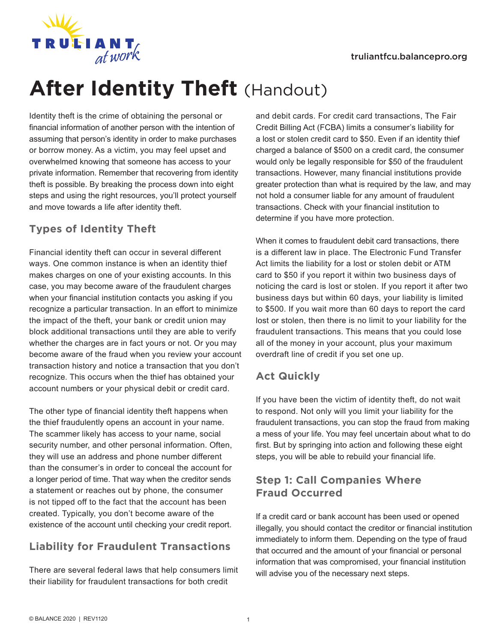

# **After Identity Theft (Handout)**

Identity theft is the crime of obtaining the personal or financial information of another person with the intention of assuming that person's identity in order to make purchases or borrow money. As a victim, you may feel upset and overwhelmed knowing that someone has access to your private information. Remember that recovering from identity theft is possible. By breaking the process down into eight steps and using the right resources, you'll protect yourself and move towards a life after identity theft.

## **Types of Identity Theft**

Financial identity theft can occur in several different ways. One common instance is when an identity thief makes charges on one of your existing accounts. In this case, you may become aware of the fraudulent charges when your financial institution contacts you asking if you recognize a particular transaction. In an effort to minimize the impact of the theft, your bank or credit union may block additional transactions until they are able to verify whether the charges are in fact yours or not. Or you may become aware of the fraud when you review your account transaction history and notice a transaction that you don't recognize. This occurs when the thief has obtained your account numbers or your physical debit or credit card.

The other type of financial identity theft happens when the thief fraudulently opens an account in your name. The scammer likely has access to your name, social security number, and other personal information. Often, they will use an address and phone number different than the consumer's in order to conceal the account for a longer period of time. That way when the creditor sends a statement or reaches out by phone, the consumer is not tipped off to the fact that the account has been created. Typically, you don't become aware of the existence of the account until checking your credit report.

## **Liability for Fraudulent Transactions**

There are several federal laws that help consumers limit their liability for fraudulent transactions for both credit

and debit cards. For credit card transactions, The Fair Credit Billing Act (FCBA) limits a consumer's liability for a lost or stolen credit card to \$50. Even if an identity thief charged a balance of \$500 on a credit card, the consumer would only be legally responsible for \$50 of the fraudulent transactions. However, many financial institutions provide greater protection than what is required by the law, and may not hold a consumer liable for any amount of fraudulent transactions. Check with your financial institution to determine if you have more protection.

When it comes to fraudulent debit card transactions, there is a different law in place. The Electronic Fund Transfer Act limits the liability for a lost or stolen debit or ATM card to \$50 if you report it within two business days of noticing the card is lost or stolen. If you report it after two business days but within 60 days, your liability is limited to \$500. If you wait more than 60 days to report the card lost or stolen, then there is no limit to your liability for the fraudulent transactions. This means that you could lose all of the money in your account, plus your maximum overdraft line of credit if you set one up.

## **Act Quickly**

If you have been the victim of identity theft, do not wait to respond. Not only will you limit your liability for the fraudulent transactions, you can stop the fraud from making a mess of your life. You may feel uncertain about what to do first. But by springing into action and following these eight steps, you will be able to rebuild your financial life.

## **Step 1: Call Companies Where Fraud Occurred**

If a credit card or bank account has been used or opened illegally, you should contact the creditor or financial institution immediately to inform them. Depending on the type of fraud that occurred and the amount of your financial or personal information that was compromised, your financial institution will advise you of the necessary next steps.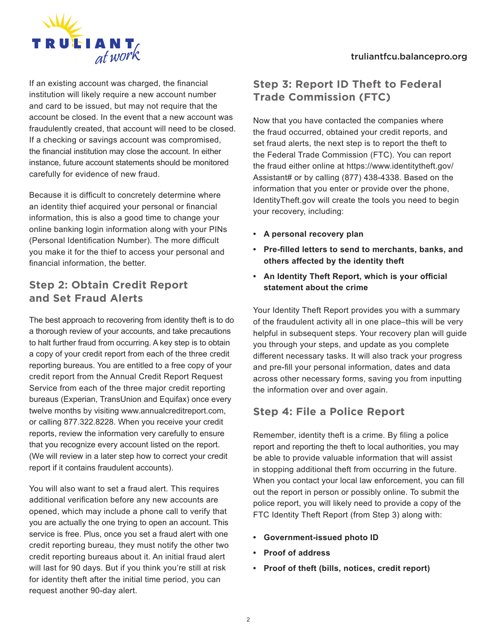

If an existing account was charged, the financial institution will likely require a new account number and card to be issued, but may not require that the account be closed. In the event that a new account was fraudulently created, that account will need to be closed. If a checking or savings account was compromised, the financial institution may close the account. In either instance, future account statements should be monitored carefully for evidence of new fraud.

Because it is difficult to concretely determine where an identity thief acquired your personal or financial information, this is also a good time to change your online banking login information along with your PINs (Personal Identification Number). The more difficult you make it for the thief to access your personal and financial information, the better.

## **Step 2: Obtain Credit Report and Set Fraud Alerts**

The best approach to recovering from identity theft is to do a thorough review of your accounts, and take precautions to halt further fraud from occurring. A key step is to obtain a copy of your credit report from each of the three credit reporting bureaus. You are entitled to a free copy of your credit report from the Annual Credit Report Request Service from each of the three major credit reporting bureaus (Experian, TransUnion and Equifax) once every twelve months by visiting [www.annualcreditreport.com,](www.annualcreditreport.com) or calling 877.322.8228. When you receive your credit reports, review the information very carefully to ensure that you recognize every account listed on the report. (We will review in a later step how to correct your credit report if it contains fraudulent accounts).

You will also want to set a fraud alert. This requires additional verification before any new accounts are opened, which may include a phone call to verify that you are actually the one trying to open an account. This service is free. Plus, once you set a fraud alert with one credit reporting bureau, they must notify the other two credit reporting bureaus about it. An initial fraud alert will last for 90 days. But if you think you're still at risk for identity theft after the initial time period, you can request another 90-day alert.

## **Step 3: Report ID Theft to Federal Trade Commission (FTC)**

Now that you have contacted the companies where the fraud occurred, obtained your credit reports, and set fraud alerts, the next step is to report the theft to the Federal Trade Commission (FTC). You can report the fraud either online at [https://www.identitytheft.gov/](https://www.identitytheft.gov/Assistant#) [Assistant#](https://www.identitytheft.gov/Assistant#) or by calling (877) 438-4338. Based on the information that you enter or provide over the phone, <IdentityTheft.gov>will create the tools you need to begin your recovery, including:

- **• A personal recovery plan**
- **Pre-filled letters to send to merchants, banks, and others affected by the identity theft**
- **An Identity Theft Report, which is your official statement about the crime**

Your Identity Theft Report provides you with a summary of the fraudulent activity all in one place–this will be very helpful in subsequent steps. Your recovery plan will guide you through your steps, and update as you complete different necessary tasks. It will also track your progress and pre-fill your personal information, dates and data across other necessary forms, saving you from inputting the information over and over again.

## **Step 4: File a Police Report**

Remember, identity theft is a crime. By filing a police report and reporting the theft to local authorities, you may be able to provide valuable information that will assist in stopping additional theft from occurring in the future. When you contact your local law enforcement, you can fill out the report in person or possibly online. To submit the police report, you will likely need to provide a copy of the FTC Identity Theft Report (from Step 3) along with:

- **Government-issued photo ID**
- **Proof of address**
- **Proof of theft (bills, notices, credit report)**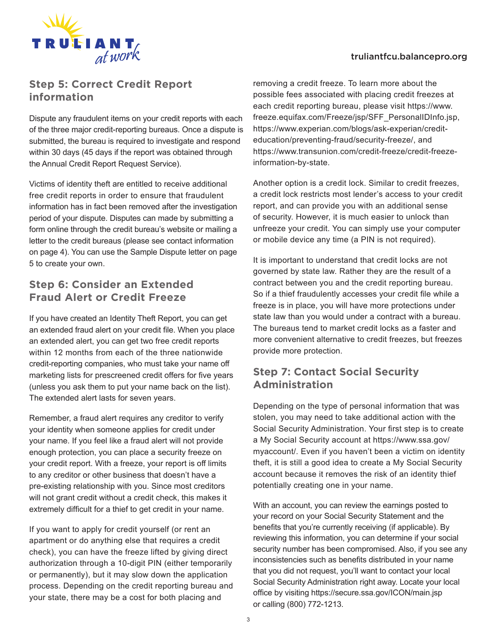#### truliantfcu.balancepro.org



## **Step 5: Correct Credit Report information**

Dispute any fraudulent items on your credit reports with each of the three major credit-reporting bureaus. Once a dispute is submitted, the bureau is required to investigate and respond within 30 days (45 days if the report was obtained through the Annual Credit Report Request Service).

Victims of identity theft are entitled to receive additional free credit reports in order to ensure that fraudulent information has in fact been removed after the investigation period of your dispute. Disputes can made by submitting a form online through the credit bureau's website or mailing a letter to the credit bureaus (please see contact information on page 4). You can use the Sample Dispute letter on page 5 to create your own.

## **Step 6: Consider an Extended Fraud Alert or Credit Freeze**

If you have created an Identity Theft Report, you can get an extended fraud alert on your credit file. When you place an extended alert, you can get two free credit reports within 12 months from each of the three nationwide credit-reporting companies, who must take your name off marketing lists for prescreened credit offers for five years (unless you ask them to put your name back on the list). The extended alert lasts for seven years.

Remember, a fraud alert requires any creditor to verify your identity when someone applies for credit under your name. If you feel like a fraud alert will not provide enough protection, you can place a security freeze on your credit report. With a freeze, your report is off limits to any creditor or other business that doesn't have a pre-existing relationship with you. Since most creditors will not grant credit without a credit check, this makes it extremely difficult for a thief to get credit in your name.

If you want to apply for credit yourself (or rent an apartment or do anything else that requires a credit check), you can have the freeze lifted by giving direct authorization through a 10-digit PIN (either temporarily or permanently), but it may slow down the application process. Depending on the credit reporting bureau and your state, there may be a cost for both placing and

removing a credit freeze. To learn more about the possible fees associated with placing credit freezes at each credit reporting bureau, please visit [https://www.](https://www.freeze.equifax.com/Freeze/jsp/SFF_PersonalIDInfo.jsp) [freeze.equifax.com/Freeze/jsp/SFF\\_PersonalIDInfo.jsp,](https://www.freeze.equifax.com/Freeze/jsp/SFF_PersonalIDInfo.jsp) [https://www.experian.com/blogs/ask-experian/credit](https://www.experian.com/blogs/ask-experian/credit-education/preventing-fraud/security-freeze/)[education/preventing-fraud/security-freeze/](https://www.experian.com/blogs/ask-experian/credit-education/preventing-fraud/security-freeze/), and [https://www.transunion.com/credit-freeze/credit-freeze](https://www.transunion.com/credit-freeze/credit-freeze-information-by-state)[information-by-state.](https://www.transunion.com/credit-freeze/credit-freeze-information-by-state)

Another option is a credit lock. Similar to credit freezes, a credit lock restricts most lender's access to your credit report, and can provide you with an additional sense of security. However, it is much easier to unlock than unfreeze your credit. You can simply use your computer or mobile device any time (a PIN is not required).

It is important to understand that credit locks are not governed by state law. Rather they are the result of a contract between you and the credit reporting bureau. So if a thief fraudulently accesses your credit file while a freeze is in place, you will have more protections under state law than you would under a contract with a bureau. The bureaus tend to market credit locks as a faster and more convenient alternative to credit freezes, but freezes provide more protection.

## **Step 7: Contact Social Security Administration**

Depending on the type of personal information that was stolen, you may need to take additional action with the Social Security Administration. Your first step is to create a My Social Security account at [https://www.ssa.gov/](https://www.ssa.gov/myaccount/) [myaccount/.](https://www.ssa.gov/myaccount/) Even if you haven't been a victim on identity theft, it is still a good idea to create a My Social Security account because it removes the risk of an identity thief potentially creating one in your name.

With an account, you can review the earnings posted to your record on your Social Security Statement and the benefits that you're currently receiving (if applicable). By reviewing this information, you can determine if your social security number has been compromised. Also, if you see any inconsistencies such as benefits distributed in your name that you did not request, you'll want to contact your local Social Security Administration right away. Locate your local office by visiting <https://secure.ssa.gov/ICON/main.jsp> or calling (800) 772-1213.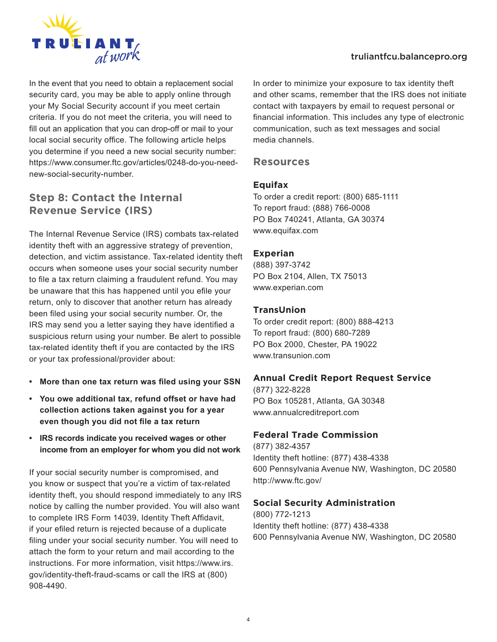

In the event that you need to obtain a replacement social security card, you may be able to apply online through your My Social Security account if you meet certain criteria. If you do not meet the criteria, you will need to fill out an application that you can drop-off or mail to your local social security office. The following article helps you determine if you need a new social security number: [https://www.consumer.ftc.gov/articles/0248-do-you-need](https://www.consumer.ftc.gov/articles/0248-do-you-need-new-social-security-number)[new-social-security-number](https://www.consumer.ftc.gov/articles/0248-do-you-need-new-social-security-number).

## **Step 8: Contact the Internal Revenue Service (IRS)**

The Internal Revenue Service (IRS) combats tax-related identity theft with an aggressive strategy of prevention, detection, and victim assistance. Tax-related identity theft occurs when someone uses your social security number to file a tax return claiming a fraudulent refund. You may be unaware that this has happened until you efile your return, only to discover that another return has already been filed using your social security number. Or, the IRS may send you a letter saying they have identified a suspicious return using your number. Be alert to possible tax-related identity theft if you are contacted by the IRS or your tax professional/provider about:

- **More than one tax return was filed using your SSN**
- **You owe additional tax, refund offset or have had collection actions taken against you for a year even though you did not file a tax return**
- **IRS records indicate you received wages or other income from an employer for whom you did not work**

If your social security number is compromised, and you know or suspect that you're a victim of tax-related identity theft, you should respond immediately to any IRS notice by calling the number provided. You will also want to complete IRS Form 14039, Identity Theft Affidavit, if your efiled return is rejected because of a duplicate filing under your social security number. You will need to attach the form to your return and mail according to the instructions. For more information, visit [https://www.irs.](https://www.irs.gov/identity-theft-fraud-scams) [gov/identity-theft-fraud-scams](https://www.irs.gov/identity-theft-fraud-scams) or call the IRS at (800) 908-4490.

#### In order to minimize your exposure to tax identity theft and other scams, remember that the IRS does not initiate contact with taxpayers by email to request personal or financial information. This includes any type of electronic communication, such as text messages and social media channels.

**Resources**

#### **Equifax**

To order a credit report: (800) 685-1111 To report fraud: (888) 766-0008 PO Box 740241, Atlanta, GA 30374 <www.equifax.com>

#### **Experian**

(888) 397-3742 PO Box 2104, Allen, TX 75013 <www.experian.com>

#### **TransUnion**

To order credit report: (800) 888-4213 To report fraud: (800) 680-7289 PO Box 2000, Chester, PA 19022 <www.transunion.com>

#### **Annual Credit Report Request Service**

(877) 322-8228 PO Box 105281, Atlanta, GA 30348 <www.annualcreditreport.com>

#### **Federal Trade Commission**

(877) 382-4357 Identity theft hotline: (877) 438-4338 600 Pennsylvania Avenue NW, Washington, DC 20580 <http://www.ftc.gov/>

#### **Social Security Administration**

(800) 772-1213 Identity theft hotline: (877) 438-4338 600 Pennsylvania Avenue NW, Washington, DC 20580

#### truliantfcu.balancepro.org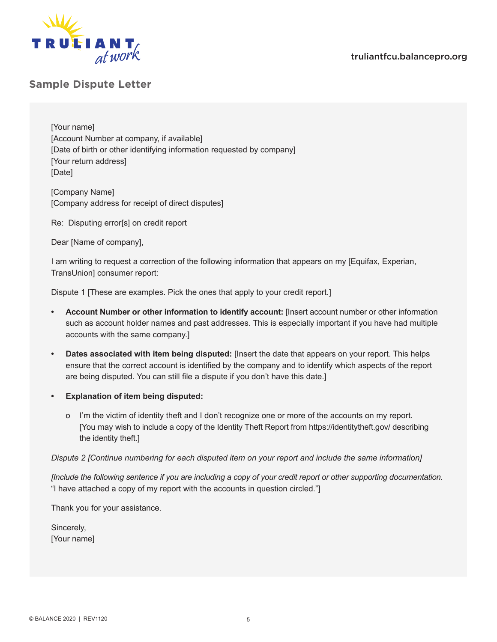#### truliantfcu.balancepro.org



## **Sample Dispute Letter**

[Your name] [Account Number at company, if available] [Date of birth or other identifying information requested by company] [Your return address] [Date]

[Company Name] [Company address for receipt of direct disputes]

Re: Disputing error[s] on credit report

Dear [Name of company],

I am writing to request a correction of the following information that appears on my [Equifax, Experian, TransUnion] consumer report:

Dispute 1 [These are examples. Pick the ones that apply to your credit report.]

- **Account Number or other information to identify account:** [Insert account number or other information such as account holder names and past addresses. This is especially important if you have had multiple accounts with the same company.]
- **Dates associated with item being disputed:** [Insert the date that appears on your report. This helps ensure that the correct account is identified by the company and to identify which aspects of the report are being disputed. You can still file a dispute if you don't have this date.]
- **Explanation of item being disputed:**
	- o I'm the victim of identity theft and I don't recognize one or more of the accounts on my report. [You may wish to include a copy of the Identity Theft Report from https://identitytheft.gov/ describing the identity theft.]

*Dispute 2 [Continue numbering for each disputed item on your report and include the same information]*

*[Include the following sentence if you are including a copy of your credit report or other supporting documentation.* "I have attached a copy of my report with the accounts in question circled."]

Thank you for your assistance.

Sincerely, [Your name]